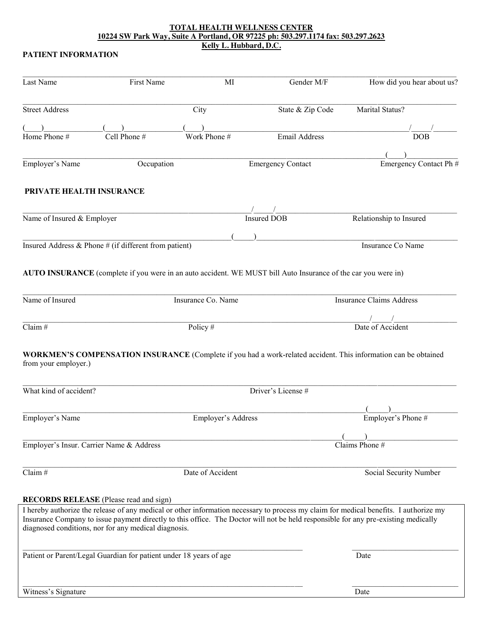#### **TOTAL HEALTH WELLNESS CENTER 10224 SW Park Way, Suite A Portland, OR 97225 ph: 503.297.1174 fax: 503.297.2623 Kelly L. Hubbard, D.C.**

#### **PATIENT INFORMATION**

| <b>Street Address</b><br>City<br>Marital Status?<br>State & Zip Code<br>Home Phone #<br>Cell Phone #<br>Work Phone #<br>Email Address<br><b>DOB</b><br>Employer's Name<br>Occupation<br><b>Emergency Contact</b><br>PRIVATE HEALTH INSURANCE<br>Relationship to Insured<br>Name of Insured & Employer<br><b>Insured DOB</b><br>Insured Address & Phone $#$ (if different from patient)<br>Insurance Co Name<br>AUTO INSURANCE (complete if you were in an auto accident. WE MUST bill Auto Insurance of the car you were in)<br>Name of Insured<br><b>Insurance Claims Address</b><br>Insurance Co. Name<br>Date of Accident<br>Policy#<br><b>WORKMEN'S COMPENSATION INSURANCE</b> (Complete if you had a work-related accident. This information can be obtained<br>from your employer.)<br>What kind of accident?<br>Driver's License #<br>Employer's Name<br>Employer's Address<br>Employer's Phone #<br>Employer's Insur. Carrier Name & Address<br>Claims Phone #<br>Date of Accident<br>Social Security Number<br><b>RECORDS RELEASE</b> (Please read and sign)<br>Insurance Company to issue payment directly to this office. The Doctor will not be held responsible for any pre-existing medically<br>diagnosed conditions, nor for any medical diagnosis.<br>Patient or Parent/Legal Guardian for patient under 18 years of age<br>Date | Last Name           | <b>First Name</b> | MI | Gender M/F | How did you hear about us? |
|---------------------------------------------------------------------------------------------------------------------------------------------------------------------------------------------------------------------------------------------------------------------------------------------------------------------------------------------------------------------------------------------------------------------------------------------------------------------------------------------------------------------------------------------------------------------------------------------------------------------------------------------------------------------------------------------------------------------------------------------------------------------------------------------------------------------------------------------------------------------------------------------------------------------------------------------------------------------------------------------------------------------------------------------------------------------------------------------------------------------------------------------------------------------------------------------------------------------------------------------------------------------------------------------------------------------------------------------------|---------------------|-------------------|----|------------|----------------------------|
|                                                                                                                                                                                                                                                                                                                                                                                                                                                                                                                                                                                                                                                                                                                                                                                                                                                                                                                                                                                                                                                                                                                                                                                                                                                                                                                                                   |                     |                   |    |            |                            |
|                                                                                                                                                                                                                                                                                                                                                                                                                                                                                                                                                                                                                                                                                                                                                                                                                                                                                                                                                                                                                                                                                                                                                                                                                                                                                                                                                   |                     |                   |    |            |                            |
|                                                                                                                                                                                                                                                                                                                                                                                                                                                                                                                                                                                                                                                                                                                                                                                                                                                                                                                                                                                                                                                                                                                                                                                                                                                                                                                                                   |                     |                   |    |            |                            |
|                                                                                                                                                                                                                                                                                                                                                                                                                                                                                                                                                                                                                                                                                                                                                                                                                                                                                                                                                                                                                                                                                                                                                                                                                                                                                                                                                   |                     |                   |    |            |                            |
|                                                                                                                                                                                                                                                                                                                                                                                                                                                                                                                                                                                                                                                                                                                                                                                                                                                                                                                                                                                                                                                                                                                                                                                                                                                                                                                                                   |                     |                   |    |            | Emergency Contact Ph #     |
|                                                                                                                                                                                                                                                                                                                                                                                                                                                                                                                                                                                                                                                                                                                                                                                                                                                                                                                                                                                                                                                                                                                                                                                                                                                                                                                                                   |                     |                   |    |            |                            |
|                                                                                                                                                                                                                                                                                                                                                                                                                                                                                                                                                                                                                                                                                                                                                                                                                                                                                                                                                                                                                                                                                                                                                                                                                                                                                                                                                   |                     |                   |    |            |                            |
|                                                                                                                                                                                                                                                                                                                                                                                                                                                                                                                                                                                                                                                                                                                                                                                                                                                                                                                                                                                                                                                                                                                                                                                                                                                                                                                                                   |                     |                   |    |            |                            |
|                                                                                                                                                                                                                                                                                                                                                                                                                                                                                                                                                                                                                                                                                                                                                                                                                                                                                                                                                                                                                                                                                                                                                                                                                                                                                                                                                   |                     |                   |    |            |                            |
| Claim#<br>Claim#<br>I hereby authorize the release of any medical or other information necessary to process my claim for medical benefits. I authorize my                                                                                                                                                                                                                                                                                                                                                                                                                                                                                                                                                                                                                                                                                                                                                                                                                                                                                                                                                                                                                                                                                                                                                                                         |                     |                   |    |            |                            |
|                                                                                                                                                                                                                                                                                                                                                                                                                                                                                                                                                                                                                                                                                                                                                                                                                                                                                                                                                                                                                                                                                                                                                                                                                                                                                                                                                   |                     |                   |    |            |                            |
|                                                                                                                                                                                                                                                                                                                                                                                                                                                                                                                                                                                                                                                                                                                                                                                                                                                                                                                                                                                                                                                                                                                                                                                                                                                                                                                                                   |                     |                   |    |            |                            |
|                                                                                                                                                                                                                                                                                                                                                                                                                                                                                                                                                                                                                                                                                                                                                                                                                                                                                                                                                                                                                                                                                                                                                                                                                                                                                                                                                   |                     |                   |    |            |                            |
|                                                                                                                                                                                                                                                                                                                                                                                                                                                                                                                                                                                                                                                                                                                                                                                                                                                                                                                                                                                                                                                                                                                                                                                                                                                                                                                                                   |                     |                   |    |            |                            |
|                                                                                                                                                                                                                                                                                                                                                                                                                                                                                                                                                                                                                                                                                                                                                                                                                                                                                                                                                                                                                                                                                                                                                                                                                                                                                                                                                   |                     |                   |    |            |                            |
|                                                                                                                                                                                                                                                                                                                                                                                                                                                                                                                                                                                                                                                                                                                                                                                                                                                                                                                                                                                                                                                                                                                                                                                                                                                                                                                                                   |                     |                   |    |            |                            |
|                                                                                                                                                                                                                                                                                                                                                                                                                                                                                                                                                                                                                                                                                                                                                                                                                                                                                                                                                                                                                                                                                                                                                                                                                                                                                                                                                   |                     |                   |    |            |                            |
|                                                                                                                                                                                                                                                                                                                                                                                                                                                                                                                                                                                                                                                                                                                                                                                                                                                                                                                                                                                                                                                                                                                                                                                                                                                                                                                                                   |                     |                   |    |            |                            |
|                                                                                                                                                                                                                                                                                                                                                                                                                                                                                                                                                                                                                                                                                                                                                                                                                                                                                                                                                                                                                                                                                                                                                                                                                                                                                                                                                   |                     |                   |    |            |                            |
|                                                                                                                                                                                                                                                                                                                                                                                                                                                                                                                                                                                                                                                                                                                                                                                                                                                                                                                                                                                                                                                                                                                                                                                                                                                                                                                                                   |                     |                   |    |            |                            |
|                                                                                                                                                                                                                                                                                                                                                                                                                                                                                                                                                                                                                                                                                                                                                                                                                                                                                                                                                                                                                                                                                                                                                                                                                                                                                                                                                   |                     |                   |    |            |                            |
|                                                                                                                                                                                                                                                                                                                                                                                                                                                                                                                                                                                                                                                                                                                                                                                                                                                                                                                                                                                                                                                                                                                                                                                                                                                                                                                                                   |                     |                   |    |            |                            |
|                                                                                                                                                                                                                                                                                                                                                                                                                                                                                                                                                                                                                                                                                                                                                                                                                                                                                                                                                                                                                                                                                                                                                                                                                                                                                                                                                   |                     |                   |    |            |                            |
|                                                                                                                                                                                                                                                                                                                                                                                                                                                                                                                                                                                                                                                                                                                                                                                                                                                                                                                                                                                                                                                                                                                                                                                                                                                                                                                                                   | Witness's Signature |                   |    |            | Date                       |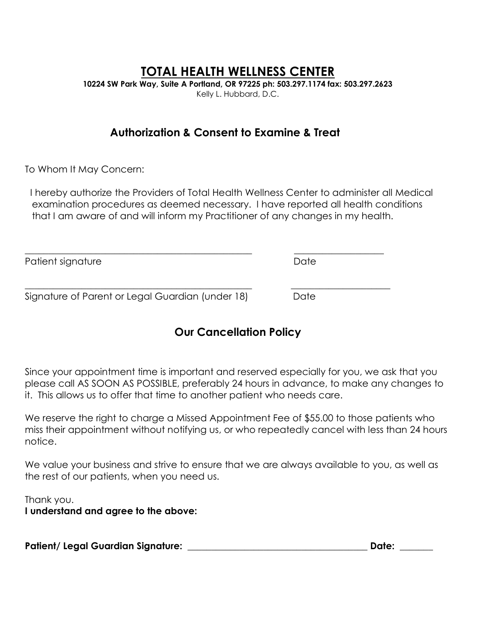# **TOTAL HEALTH WELLNESS CENTER**

**10224 SW Park Way, Suite A Portland, OR 97225 ph: 503.297.1174 fax: 503.297.2623** Kelly L. Hubbard, D.C.

## **Authorization & Consent to Examine & Treat**

To Whom It May Concern:

 I hereby authorize the Providers of Total Health Wellness Center to administer all Medical examination procedures as deemed necessary. I have reported all health conditions that I am aware of and will inform my Practitioner of any changes in my health.

| Patient signature                                | Date |  |
|--------------------------------------------------|------|--|
| Signature of Parent or Legal Guardian (under 18) | Date |  |

# **Our Cancellation Policy**

Since your appointment time is important and reserved especially for you, we ask that you please call AS SOON AS POSSIBLE, preferably 24 hours in advance, to make any changes to it. This allows us to offer that time to another patient who needs care.

We reserve the right to charge a Missed Appointment Fee of \$55.00 to those patients who miss their appointment without notifying us, or who repeatedly cancel with less than 24 hours notice.

We value your business and strive to ensure that we are always available to you, as well as the rest of our patients, when you need us.

Thank you.

**I understand and agree to the above:**

**Patient/ Legal Guardian Signature: \_\_\_\_\_\_\_\_\_\_\_\_\_\_\_\_\_\_\_\_\_\_\_\_\_\_\_\_\_\_\_\_\_\_\_\_\_\_ Date: \_\_\_\_\_\_\_**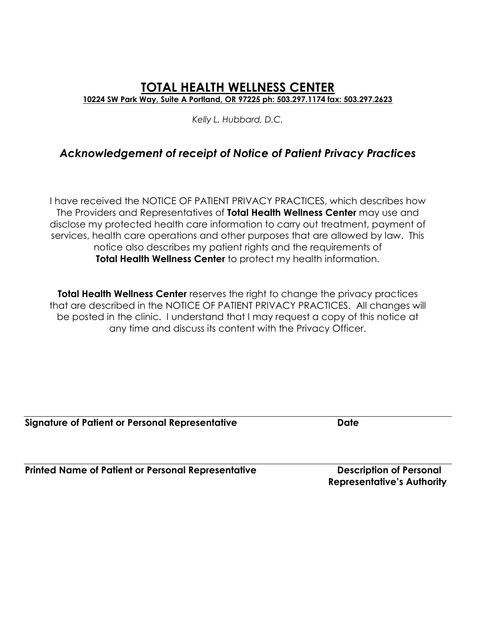## **TOTAL HEALTH WELLNESS CENTER 10224 SW Park Way, Suite A Portland, OR 97225 ph: 503.297.1174 fax: 503.297.2623**

*Kelly L. Hubbard, D.C.*

# *Acknowledgement of receipt of Notice of Patient Privacy Practices*

I have received the NOTICE OF PATIENT PRIVACY PRACTICES, which describes how The Providers and Representatives of **Total Health Wellness Center** may use and disclose my protected health care information to carry out treatment, payment of services, health care operations and other purposes that are allowed by law. This notice also describes my patient rights and the requirements of **Total Health Wellness Center** to protect my health information.

**Total Health Wellness Center** reserves the right to change the privacy practices that are described in the NOTICE OF PATIENT PRIVACY PRACTICES. All changes will be posted in the clinic. I understand that I may request a copy of this notice at any time and discuss its content with the Privacy Officer.

**Signature of Patient or Personal Representative <b>Signature of Patient** 

**Printed Name of Patient or Personal Representative <b>Description of Personal** 

 **Representative's Authority**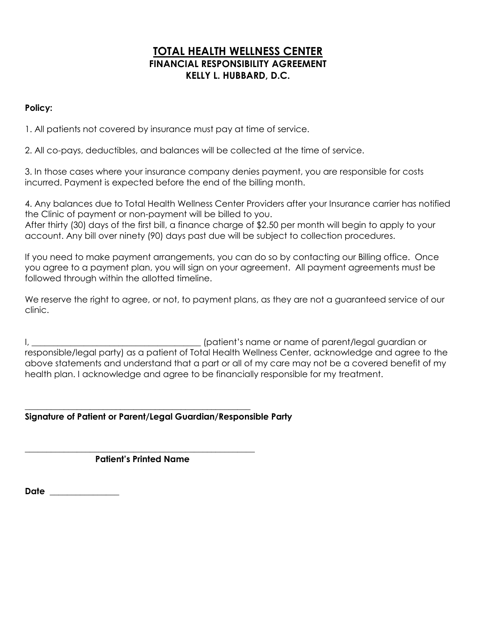## **TOTAL HEALTH WELLNESS CENTER FINANCIAL RESPONSIBILITY AGREEMENT KELLY L. HUBBARD, D.C.**

## **Policy:**

1. All patients not covered by insurance must pay at time of service.

2. All co-pays, deductibles, and balances will be collected at the time of service.

3. In those cases where your insurance company denies payment, you are responsible for costs incurred. Payment is expected before the end of the billing month.

4. Any balances due to Total Health Wellness Center Providers after your Insurance carrier has notified the Clinic of payment or non-payment will be billed to you. After thirty (30) days of the first bill, a finance charge of \$2.50 per month will begin to apply to your account. Any bill over ninety (90) days past due will be subject to collection procedures.

If you need to make payment arrangements, you can do so by contacting our Billing office. Once you agree to a payment plan, you will sign on your agreement. All payment agreements must be followed through within the allotted timeline.

We reserve the right to agree, or not, to payment plans, as they are not a guaranteed service of our clinic.

I, \_\_\_\_\_\_\_\_\_\_\_\_\_\_\_\_\_\_\_\_\_\_\_\_\_\_\_\_\_\_\_\_\_\_\_\_\_\_\_ (patient's name or name of parent/legal guardian or responsible/legal party) as a patient of Total Health Wellness Center, acknowledge and agree to the above statements and understand that a part or all of my care may not be a covered benefit of my health plan. I acknowledge and agree to be financially responsible for my treatment.

#### \_\_\_\_\_\_\_\_\_\_\_\_\_\_\_\_\_\_\_\_\_\_\_\_\_\_\_\_\_\_\_\_\_\_\_\_\_\_\_\_\_\_\_\_\_\_\_\_\_\_\_\_ **Signature of Patient or Parent/Legal Guardian/Responsible Party**

#### \_\_\_\_\_\_\_\_\_\_\_\_\_\_\_\_\_\_\_\_\_\_\_\_\_\_\_\_\_\_\_\_\_\_\_\_\_\_\_\_\_\_\_\_\_\_\_\_\_\_\_\_\_  **Patient's Printed Name**

**Date** \_\_\_\_\_\_\_\_\_\_\_\_\_\_\_\_